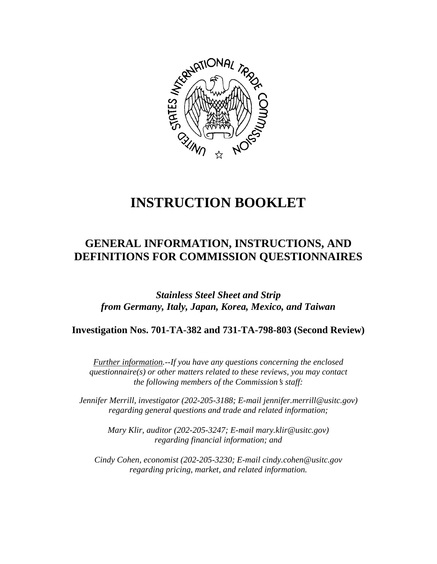

# **INSTRUCTION BOOKLET**

# **GENERAL INFORMATION, INSTRUCTIONS, AND DEFINITIONS FOR COMMISSION QUESTIONNAIRES**

*Stainless Steel Sheet and Strip from Germany, Italy, Japan, Korea, Mexico, and Taiwan* 

**Investigation Nos. 701-TA-382 and 731-TA-798-803 (Second Review)**

*Further information.--If you have any questions concerning the enclosed questionnaire(s) or other matters related to these reviews, you may contact the following members of the Commission's staff:* 

*Jennifer Merrill, investigator (202-205-3188; E-mail jennifer.merrill@usitc.gov) regarding general questions and trade and related information;* 

> *Mary Klir, auditor (202-205-3247; E-mail mary.klir@usitc.gov) regarding financial information; and*

 *Cindy Cohen, economist (202-205-3230; E-mail cindy.cohen@usitc.gov regarding pricing, market, and related information.*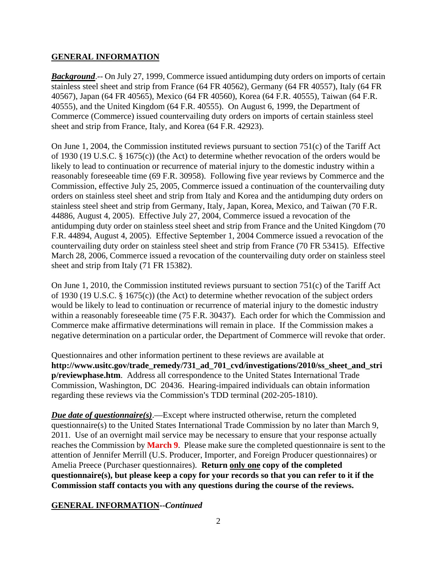#### **GENERAL INFORMATION**

*Background*.-- On July 27, 1999, Commerce issued antidumping duty orders on imports of certain stainless steel sheet and strip from France (64 FR 40562), Germany (64 FR 40557), Italy (64 FR 40567), Japan (64 FR 40565), Mexico (64 FR 40560), Korea (64 F.R. 40555), Taiwan (64 F.R. 40555), and the United Kingdom (64 F.R. 40555). On August 6, 1999, the Department of Commerce (Commerce) issued countervailing duty orders on imports of certain stainless steel sheet and strip from France, Italy, and Korea (64 F.R. 42923).

On June 1, 2004, the Commission instituted reviews pursuant to section 751(c) of the Tariff Act of 1930 (19 U.S.C. § 1675(c)) (the Act) to determine whether revocation of the orders would be likely to lead to continuation or recurrence of material injury to the domestic industry within a reasonably foreseeable time (69 F.R. 30958). Following five year reviews by Commerce and the Commission, effective July 25, 2005, Commerce issued a continuation of the countervailing duty orders on stainless steel sheet and strip from Italy and Korea and the antidumping duty orders on stainless steel sheet and strip from Germany, Italy, Japan, Korea, Mexico, and Taiwan (70 F.R. 44886, August 4, 2005). Effective July 27, 2004, Commerce issued a revocation of the antidumping duty order on stainless steel sheet and strip from France and the United Kingdom (70 F.R. 44894, August 4, 2005). Effective September 1, 2004 Commerce issued a revocation of the countervailing duty order on stainless steel sheet and strip from France (70 FR 53415). Effective March 28, 2006, Commerce issued a revocation of the countervailing duty order on stainless steel sheet and strip from Italy (71 FR 15382).

On June 1, 2010, the Commission instituted reviews pursuant to section 751(c) of the Tariff Act of 1930 (19 U.S.C. § 1675(c)) (the Act) to determine whether revocation of the subject orders would be likely to lead to continuation or recurrence of material injury to the domestic industry within a reasonably foreseeable time (75 F.R. 30437). Each order for which the Commission and Commerce make affirmative determinations will remain in place. If the Commission makes a negative determination on a particular order, the Department of Commerce will revoke that order.

Questionnaires and other information pertinent to these reviews are available at **http://www.usitc.gov/trade\_remedy/731\_ad\_701\_cvd/investigations/2010/ss\_sheet\_and\_stri p/reviewphase.htm**. Address all correspondence to the United States International Trade Commission, Washington, DC 20436. Hearing-impaired individuals can obtain information regarding these reviews via the Commission's TDD terminal (202-205-1810).

*Due date of questionnaire(s)*.—Except where instructed otherwise, return the completed questionnaire(s) to the United States International Trade Commission by no later than March 9, 2011. Use of an overnight mail service may be necessary to ensure that your response actually reaches the Commission by **March 9**. Please make sure the completed questionnaire is sent to the attention of Jennifer Merrill (U.S. Producer, Importer, and Foreign Producer questionnaires) or Amelia Preece (Purchaser questionnaires). **Return only one copy of the completed questionnaire(s), but please keep a copy for your records so that you can refer to it if the Commission staff contacts you with any questions during the course of the reviews.**

### **GENERAL INFORMATION--***Continued*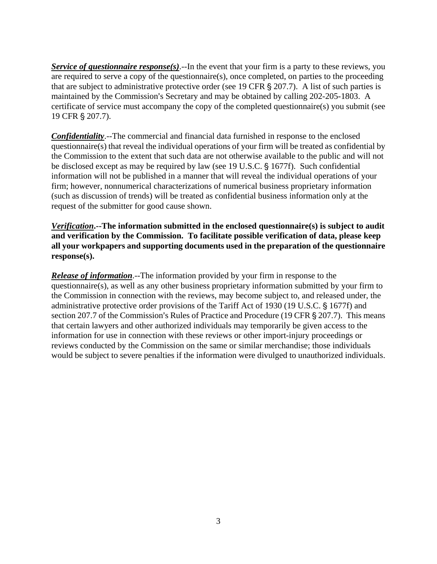*Service of questionnaire response(s)*.--In the event that your firm is a party to these reviews, you are required to serve a copy of the questionnaire(s), once completed, on parties to the proceeding that are subject to administrative protective order (see 19 CFR  $\S 207.7$ ). A list of such parties is maintained by the Commission's Secretary and may be obtained by calling 202-205-1803. A certificate of service must accompany the copy of the completed questionnaire(s) you submit (see 19 CFR § 207.7).

*Confidentiality*.--The commercial and financial data furnished in response to the enclosed questionnaire(s) that reveal the individual operations of your firm will be treated as confidential by the Commission to the extent that such data are not otherwise available to the public and will not be disclosed except as may be required by law (see 19 U.S.C. § 1677f). Such confidential information will not be published in a manner that will reveal the individual operations of your firm; however, nonnumerical characterizations of numerical business proprietary information (such as discussion of trends) will be treated as confidential business information only at the request of the submitter for good cause shown.

*Verification***.--The information submitted in the enclosed questionnaire(s) is subject to audit and verification by the Commission. To facilitate possible verification of data, please keep all your workpapers and supporting documents used in the preparation of the questionnaire response(s).**

*Release of information*.--The information provided by your firm in response to the questionnaire(s), as well as any other business proprietary information submitted by your firm to the Commission in connection with the reviews, may become subject to, and released under, the administrative protective order provisions of the Tariff Act of 1930 (19 U.S.C. § 1677f) and section 207.7 of the Commission's Rules of Practice and Procedure (19 CFR  $\S$  207.7). This means that certain lawyers and other authorized individuals may temporarily be given access to the information for use in connection with these reviews or other import-injury proceedings or reviews conducted by the Commission on the same or similar merchandise; those individuals would be subject to severe penalties if the information were divulged to unauthorized individuals.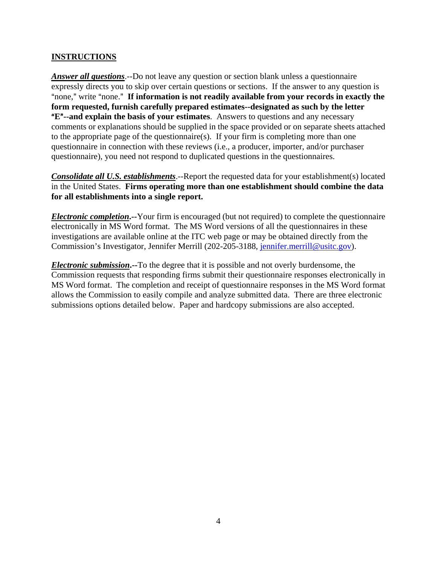### **INSTRUCTIONS**

*Answer all questions*.--Do not leave any question or section blank unless a questionnaire expressly directs you to skip over certain questions or sections. If the answer to any question is "none," write "none." If information is not readily available from your records in exactly the **form requested, furnish carefully prepared estimates--designated as such by the letter E<sup>"</sup>--and explain the basis of your estimates**. Answers to questions and any necessary comments or explanations should be supplied in the space provided or on separate sheets attached to the appropriate page of the questionnaire(s). If your firm is completing more than one questionnaire in connection with these reviews (i.e., a producer, importer, and/or purchaser questionnaire), you need not respond to duplicated questions in the questionnaires.

*Consolidate all U.S. establishments*.--Report the requested data for your establishment(s) located in the United States. **Firms operating more than one establishment should combine the data for all establishments into a single report.**

*Electronic completion***.--**Your firm is encouraged (but not required) to complete the questionnaire electronically in MS Word format. The MS Word versions of all the questionnaires in these investigations are available online at the ITC web page or may be obtained directly from the Commission's Investigator, Jennifer Merrill (202-205-3188, jennifer.merrill@usitc.gov).

*Electronic submission***.--**To the degree that it is possible and not overly burdensome, the Commission requests that responding firms submit their questionnaire responses electronically in MS Word format. The completion and receipt of questionnaire responses in the MS Word format allows the Commission to easily compile and analyze submitted data. There are three electronic submissions options detailed below. Paper and hardcopy submissions are also accepted.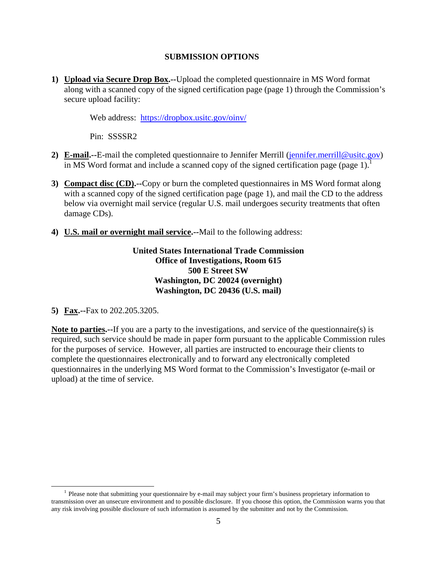#### **SUBMISSION OPTIONS**

**1) Upload via Secure Drop Box.--**Upload the completed questionnaire in MS Word format along with a scanned copy of the signed certification page (page 1) through the Commission's secure upload facility:

Web address: https://dropbox.usitc.gov/oinv/

Pin: SSSSR2

- **2) E-mail.--**E-mail the completed questionnaire to Jennifer Merrill (jennifer.merrill@usitc.gov) in MS Word format and include a scanned copy of the signed certification page (page 1).<sup>1</sup>
- **3) Compact disc (CD).--**Copy or burn the completed questionnaires in MS Word format along with a scanned copy of the signed certification page (page 1), and mail the CD to the address below via overnight mail service (regular U.S. mail undergoes security treatments that often damage CDs).
- **4) U.S. mail or overnight mail service.--**Mail to the following address:

**United States International Trade Commission Office of Investigations, Room 615 500 E Street SW Washington, DC 20024 (overnight) Washington, DC 20436 (U.S. mail)** 

**5) Fax.--**Fax to 202.205.3205.

**Note to parties.--**If you are a party to the investigations, and service of the questionnaire(s) is required, such service should be made in paper form pursuant to the applicable Commission rules for the purposes of service. However, all parties are instructed to encourage their clients to complete the questionnaires electronically and to forward any electronically completed questionnaires in the underlying MS Word format to the Commission's Investigator (e-mail or upload) at the time of service.

<sup>&</sup>lt;sup>1</sup> Please note that submitting your questionnaire by e-mail may subject your firm's business proprietary information to transmission over an unsecure environment and to possible disclosure. If you choose this option, the Commission warns you that any risk involving possible disclosure of such information is assumed by the submitter and not by the Commission.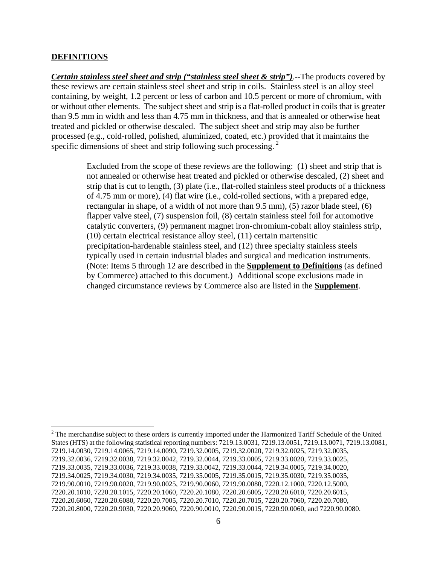#### **DEFINITIONS**

*Certain stainless steel sheet and strip ("stainless steel sheet & strip")*.--The products covered by these reviews are certain stainless steel sheet and strip in coils. Stainless steel is an alloy steel containing, by weight, 1.2 percent or less of carbon and 10.5 percent or more of chromium, with or without other elements. The subject sheet and strip is a flat-rolled product in coils that is greater than 9.5 mm in width and less than 4.75 mm in thickness, and that is annealed or otherwise heat treated and pickled or otherwise descaled. The subject sheet and strip may also be further processed (e.g., cold-rolled, polished, aluminized, coated, etc.) provided that it maintains the specific dimensions of sheet and strip following such processing.  $2^2$ 

> Excluded from the scope of these reviews are the following: (1) sheet and strip that is not annealed or otherwise heat treated and pickled or otherwise descaled, (2) sheet and strip that is cut to length, (3) plate (i.e., flat-rolled stainless steel products of a thickness of 4.75 mm or more), (4) flat wire (i.e., cold-rolled sections, with a prepared edge, rectangular in shape, of a width of not more than 9.5 mm), (5) razor blade steel, (6) flapper valve steel, (7) suspension foil, (8) certain stainless steel foil for automotive catalytic converters, (9) permanent magnet iron-chromium-cobalt alloy stainless strip, (10) certain electrical resistance alloy steel, (11) certain martensitic precipitation-hardenable stainless steel, and (12) three specialty stainless steels typically used in certain industrial blades and surgical and medication instruments. (Note: Items 5 through 12 are described in the **Supplement to Definitions** (as defined by Commerce) attached to this document.) Additional scope exclusions made in changed circumstance reviews by Commerce also are listed in the **Supplement**.

<sup>&</sup>lt;u>.</u>  $2^2$  The merchandise subject to these orders is currently imported under the Harmonized Tariff Schedule of the United States (HTS) at the following statistical reporting numbers: 7219.13.0031, 7219.13.0051, 7219.13.0071, 7219.13.0081, 7219.14.0030, 7219.14.0065, 7219.14.0090, 7219.32.0005, 7219.32.0020, 7219.32.0025, 7219.32.0035, 7219.32.0036, 7219.32.0038, 7219.32.0042, 7219.32.0044, 7219.33.0005, 7219.33.0020, 7219.33.0025, 7219.33.0035, 7219.33.0036, 7219.33.0038, 7219.33.0042, 7219.33.0044, 7219.34.0005, 7219.34.0020, 7219.34.0025, 7219.34.0030, 7219.34.0035, 7219.35.0005, 7219.35.0015, 7219.35.0030, 7219.35.0035, 7219.90.0010, 7219.90.0020, 7219.90.0025, 7219.90.0060, 7219.90.0080, 7220.12.1000, 7220.12.5000, 7220.20.1010, 7220.20.1015, 7220.20.1060, 7220.20.1080, 7220.20.6005, 7220.20.6010, 7220.20.6015, 7220.20.6060, 7220.20.6080, 7220.20.7005, 7220.20.7010, 7220.20.7015, 7220.20.7060, 7220.20.7080, 7220.20.8000, 7220.20.9030, 7220.20.9060, 7220.90.0010, 7220.90.0015, 7220.90.0060, and 7220.90.0080.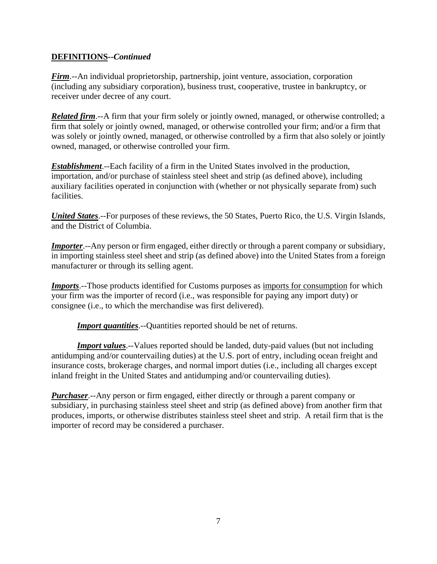### **DEFINITIONS--***Continued*

*Firm*.--An individual proprietorship, partnership, joint venture, association, corporation (including any subsidiary corporation), business trust, cooperative, trustee in bankruptcy, or receiver under decree of any court.

*Related firm*.--A firm that your firm solely or jointly owned, managed, or otherwise controlled; a firm that solely or jointly owned, managed, or otherwise controlled your firm; and/or a firm that was solely or jointly owned, managed, or otherwise controlled by a firm that also solely or jointly owned, managed, or otherwise controlled your firm.

*Establishment*.--Each facility of a firm in the United States involved in the production, importation, and/or purchase of stainless steel sheet and strip (as defined above), including auxiliary facilities operated in conjunction with (whether or not physically separate from) such facilities.

*United States*.--For purposes of these reviews, the 50 States, Puerto Rico, the U.S. Virgin Islands, and the District of Columbia.

*Importer*.--Any person or firm engaged, either directly or through a parent company or subsidiary, in importing stainless steel sheet and strip (as defined above) into the United States from a foreign manufacturer or through its selling agent.

*Imports*.--Those products identified for Customs purposes as imports for consumption for which your firm was the importer of record (i.e., was responsible for paying any import duty) or consignee (i.e., to which the merchandise was first delivered).

*Import quantities*.--Quantities reported should be net of returns.

*Import values*.--Values reported should be landed, duty-paid values (but not including antidumping and/or countervailing duties) at the U.S. port of entry, including ocean freight and insurance costs, brokerage charges, and normal import duties (i.e., including all charges except inland freight in the United States and antidumping and/or countervailing duties).

*Purchaser*.--Any person or firm engaged, either directly or through a parent company or subsidiary, in purchasing stainless steel sheet and strip (as defined above) from another firm that produces, imports, or otherwise distributes stainless steel sheet and strip. A retail firm that is the importer of record may be considered a purchaser.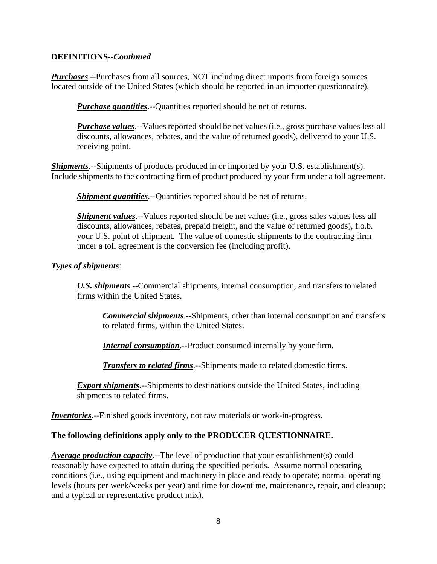### **DEFINITIONS--***Continued*

*Purchases*.--Purchases from all sources, NOT including direct imports from foreign sources located outside of the United States (which should be reported in an importer questionnaire).

*Purchase quantities*.--Quantities reported should be net of returns.

*Purchase values*.--Values reported should be net values (i.e., gross purchase values less all discounts, allowances, rebates, and the value of returned goods), delivered to your U.S. receiving point.

*Shipments*.--Shipments of products produced in or imported by your U.S. establishment(s). Include shipments to the contracting firm of product produced by your firm under a toll agreement.

*Shipment quantities*.--Quantities reported should be net of returns.

*Shipment values*.--Values reported should be net values (*i.e.*, gross sales values less all discounts, allowances, rebates, prepaid freight, and the value of returned goods), f.o.b. your U.S. point of shipment. The value of domestic shipments to the contracting firm under a toll agreement is the conversion fee (including profit).

#### *Types of shipments*:

*U.S. shipments*.--Commercial shipments, internal consumption, and transfers to related firms within the United States.

*Commercial shipments*.--Shipments, other than internal consumption and transfers to related firms, within the United States.

*Internal consumption*.--Product consumed internally by your firm.

*Transfers to related firms*.--Shipments made to related domestic firms.

*Export shipments*.--Shipments to destinations outside the United States, including shipments to related firms.

*Inventories*.--Finished goods inventory, not raw materials or work-in-progress.

### **The following definitions apply only to the PRODUCER QUESTIONNAIRE.**

*Average production capacity*.--The level of production that your establishment(s) could reasonably have expected to attain during the specified periods. Assume normal operating conditions (i.e., using equipment and machinery in place and ready to operate; normal operating levels (hours per week/weeks per year) and time for downtime, maintenance, repair, and cleanup; and a typical or representative product mix).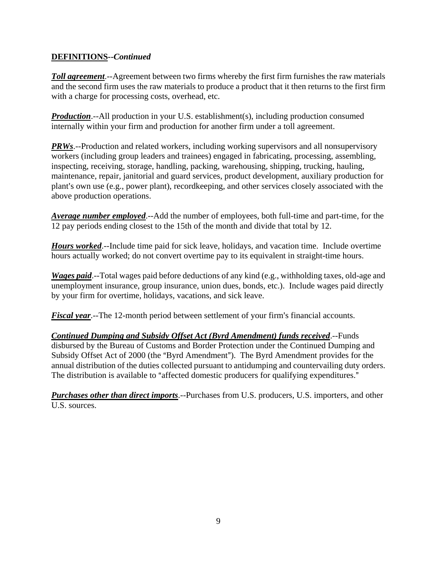## **DEFINITIONS--***Continued*

*Toll agreement*.--Agreement between two firms whereby the first firm furnishes the raw materials and the second firm uses the raw materials to produce a product that it then returns to the first firm with a charge for processing costs, overhead, etc.

*Production*.--All production in your U.S. establishment(s), including production consumed internally within your firm and production for another firm under a toll agreement.

*PRWs*.--Production and related workers, including working supervisors and all nonsupervisory workers (including group leaders and trainees) engaged in fabricating, processing, assembling, inspecting, receiving, storage, handling, packing, warehousing, shipping, trucking, hauling, maintenance, repair, janitorial and guard services, product development, auxiliary production for plant's own use (e.g., power plant), recordkeeping, and other services closely associated with the above production operations.

*Average number employed*.--Add the number of employees, both full-time and part-time, for the 12 pay periods ending closest to the 15th of the month and divide that total by 12.

*Hours worked*.--Include time paid for sick leave, holidays, and vacation time. Include overtime hours actually worked; do not convert overtime pay to its equivalent in straight-time hours.

*Wages paid*.--Total wages paid before deductions of any kind (e.g., withholding taxes, old-age and unemployment insurance, group insurance, union dues, bonds, etc.). Include wages paid directly by your firm for overtime, holidays, vacations, and sick leave.

*Fiscal year*.--The 12-month period between settlement of your firm's financial accounts.

*Continued Dumping and Subsidy Offset Act (Byrd Amendment) funds received*.--Funds disbursed by the Bureau of Customs and Border Protection under the Continued Dumping and Subsidy Offset Act of 2000 (the "Byrd Amendment"). The Byrd Amendment provides for the annual distribution of the duties collected pursuant to antidumping and countervailing duty orders. The distribution is available to "affected domestic producers for qualifying expenditures."

*Purchases other than direct imports*.--Purchases from U.S. producers, U.S. importers, and other U.S. sources.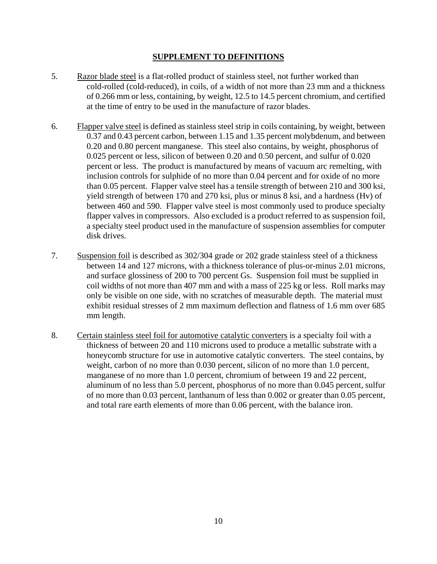#### **SUPPLEMENT TO DEFINITIONS**

- 5. Razor blade steel is a flat-rolled product of stainless steel, not further worked than cold-rolled (cold-reduced), in coils, of a width of not more than 23 mm and a thickness of 0.266 mm or less, containing, by weight, 12.5 to 14.5 percent chromium, and certified at the time of entry to be used in the manufacture of razor blades.
- 6. Flapper valve steel is defined as stainless steel strip in coils containing, by weight, between 0.37 and 0.43 percent carbon, between 1.15 and 1.35 percent molybdenum, and between 0.20 and 0.80 percent manganese. This steel also contains, by weight, phosphorus of 0.025 percent or less, silicon of between 0.20 and 0.50 percent, and sulfur of 0.020 percent or less. The product is manufactured by means of vacuum arc remelting, with inclusion controls for sulphide of no more than 0.04 percent and for oxide of no more than 0.05 percent. Flapper valve steel has a tensile strength of between 210 and 300 ksi, yield strength of between 170 and 270 ksi, plus or minus 8 ksi, and a hardness (Hv) of between 460 and 590. Flapper valve steel is most commonly used to produce specialty flapper valves in compressors. Also excluded is a product referred to as suspension foil, a specialty steel product used in the manufacture of suspension assemblies for computer disk drives.
- 7. Suspension foil is described as 302/304 grade or 202 grade stainless steel of a thickness between 14 and 127 microns, with a thickness tolerance of plus-or-minus 2.01 microns, and surface glossiness of 200 to 700 percent Gs. Suspension foil must be supplied in coil widths of not more than 407 mm and with a mass of 225 kg or less. Roll marks may only be visible on one side, with no scratches of measurable depth. The material must exhibit residual stresses of 2 mm maximum deflection and flatness of 1.6 mm over 685 mm length.
- 8. Certain stainless steel foil for automotive catalytic converters is a specialty foil with a thickness of between 20 and 110 microns used to produce a metallic substrate with a honeycomb structure for use in automotive catalytic converters. The steel contains, by weight, carbon of no more than 0.030 percent, silicon of no more than 1.0 percent, manganese of no more than 1.0 percent, chromium of between 19 and 22 percent, aluminum of no less than 5.0 percent, phosphorus of no more than 0.045 percent, sulfur of no more than 0.03 percent, lanthanum of less than 0.002 or greater than 0.05 percent, and total rare earth elements of more than 0.06 percent, with the balance iron.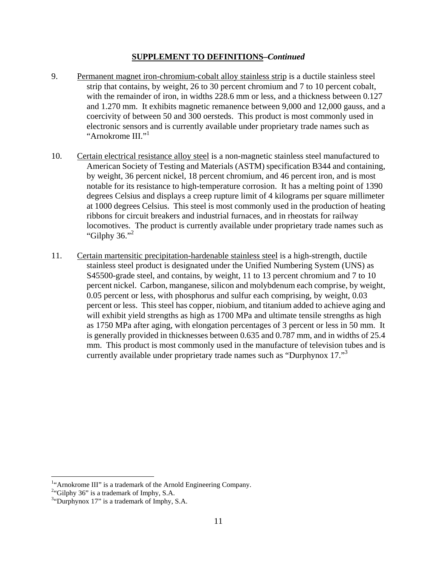#### **SUPPLEMENT TO DEFINITIONS–***Continued*

- 9. Permanent magnet iron-chromium-cobalt alloy stainless strip is a ductile stainless steel strip that contains, by weight, 26 to 30 percent chromium and 7 to 10 percent cobalt, with the remainder of iron, in widths 228.6 mm or less, and a thickness between 0.127 and 1.270 mm. It exhibits magnetic remanence between 9,000 and 12,000 gauss, and a coercivity of between 50 and 300 oersteds. This product is most commonly used in electronic sensors and is currently available under proprietary trade names such as "Arnokrome III."<sup>1</sup>
- 10. Certain electrical resistance alloy steel is a non-magnetic stainless steel manufactured to American Society of Testing and Materials (ASTM) specification B344 and containing, by weight, 36 percent nickel, 18 percent chromium, and 46 percent iron, and is most notable for its resistance to high-temperature corrosion. It has a melting point of 1390 degrees Celsius and displays a creep rupture limit of 4 kilograms per square millimeter at 1000 degrees Celsius. This steel is most commonly used in the production of heating ribbons for circuit breakers and industrial furnaces, and in rheostats for railway locomotives. The product is currently available under proprietary trade names such as "Gilphy  $36$ ."
- 11. Certain martensitic precipitation-hardenable stainless steel is a high-strength, ductile stainless steel product is designated under the Unified Numbering System (UNS) as S45500-grade steel, and contains, by weight, 11 to 13 percent chromium and 7 to 10 percent nickel. Carbon, manganese, silicon and molybdenum each comprise, by weight, 0.05 percent or less, with phosphorus and sulfur each comprising, by weight, 0.03 percent or less. This steel has copper, niobium, and titanium added to achieve aging and will exhibit yield strengths as high as 1700 MPa and ultimate tensile strengths as high as 1750 MPa after aging, with elongation percentages of 3 percent or less in 50 mm. It is generally provided in thicknesses between 0.635 and 0.787 mm, and in widths of 25.4 mm. This product is most commonly used in the manufacture of television tubes and is currently available under proprietary trade names such as "Durphynox 17."3

 $\overline{a}$ 

<sup>&</sup>lt;sup>1.4</sup> Arnokrome III" is a trademark of the Arnold Engineering Company.<br><sup>24</sup> Gilphy 26<sup>2</sup> is a trademark of Imphy  $S_A$ 

 $^{2}$ "Gilphy 36" is a trademark of Imphy, S.A.

<sup>&</sup>lt;sup>3</sup>"Durphynox 17" is a trademark of Imphy, S.A.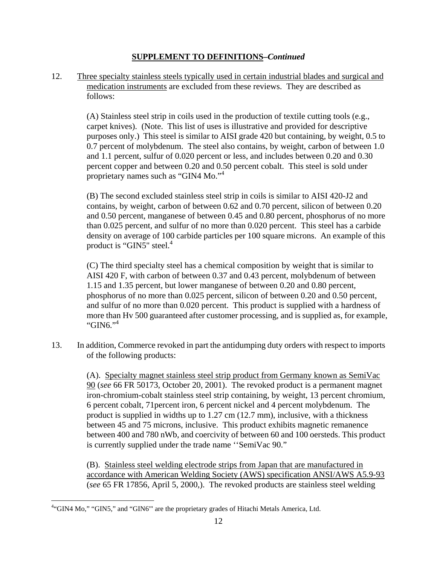#### **SUPPLEMENT TO DEFINITIONS–***Continued*

12. Three specialty stainless steels typically used in certain industrial blades and surgical and medication instruments are excluded from these reviews. They are described as follows:

> (A) Stainless steel strip in coils used in the production of textile cutting tools (e.g., carpet knives). (Note. This list of uses is illustrative and provided for descriptive purposes only.) This steel is similar to AISI grade 420 but containing, by weight, 0.5 to 0.7 percent of molybdenum. The steel also contains, by weight, carbon of between 1.0 and 1.1 percent, sulfur of 0.020 percent or less, and includes between 0.20 and 0.30 percent copper and between 0.20 and 0.50 percent cobalt. This steel is sold under proprietary names such as "GIN4 Mo."<sup>4</sup>

> (B) The second excluded stainless steel strip in coils is similar to AISI 420-J2 and contains, by weight, carbon of between 0.62 and 0.70 percent, silicon of between 0.20 and 0.50 percent, manganese of between 0.45 and 0.80 percent, phosphorus of no more than 0.025 percent, and sulfur of no more than 0.020 percent. This steel has a carbide density on average of 100 carbide particles per 100 square microns. An example of this product is "GIN5" steel. $4$

> (C) The third specialty steel has a chemical composition by weight that is similar to AISI 420 F, with carbon of between 0.37 and 0.43 percent, molybdenum of between 1.15 and 1.35 percent, but lower manganese of between 0.20 and 0.80 percent, phosphorus of no more than 0.025 percent, silicon of between 0.20 and 0.50 percent, and sulfur of no more than 0.020 percent. This product is supplied with a hardness of more than Hv 500 guaranteed after customer processing, and is supplied as, for example, "GIN6." $4$

13. In addition, Commerce revoked in part the antidumping duty orders with respect to imports of the following products:

> (A). Specialty magnet stainless steel strip product from Germany known as SemiVac 90 (*see* 66 FR 50173, October 20, 2001). The revoked product is a permanent magnet iron-chromium-cobalt stainless steel strip containing, by weight, 13 percent chromium, 6 percent cobalt, 71percent iron, 6 percent nickel and 4 percent molybdenum. The product is supplied in widths up to 1.27 cm (12.7 mm), inclusive, with a thickness between 45 and 75 microns, inclusive. This product exhibits magnetic remanence between 400 and 780 nWb, and coercivity of between 60 and 100 oersteds. This product is currently supplied under the trade name ''SemiVac 90."

> (B). Stainless steel welding electrode strips from Japan that are manufactured in accordance with American Welding Society (AWS) specification ANSI/AWS A5.9-93 (*see* 65 FR 17856, April 5, 2000,). The revoked products are stainless steel welding

 $\overline{a}$ 

<sup>&</sup>lt;sup>4.</sup> GIN4 Mo," "GIN5," and "GIN6"' are the proprietary grades of Hitachi Metals America, Ltd.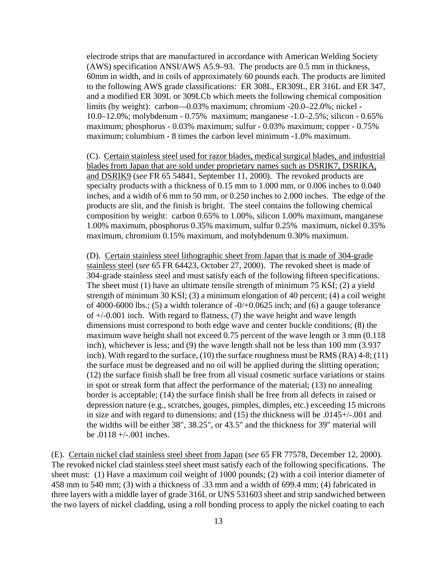electrode strips that are manufactured in accordance with American Welding Society (AWS) specification ANSI/AWS A5.9–93. The products are 0.5 mm in thickness, 60mm in width, and in coils of approximately 60 pounds each. The products are limited to the following AWS grade classifications: ER 308L, ER309L, ER 316L and ER 347, and a modified ER 309L or 309LCb which meets the following chemical composition limits (by weight): carbon—0.03% maximum; chromium -20.0–22.0%; nickel - 10.0–12.0%; molybdenum - 0.75% maximum; manganese -1.0–2.5%; silicon - 0.65% maximum; phosphorus - 0.03% maximum; sulfur - 0.03% maximum; copper - 0.75% maximum; columbium - 8 times the carbon level minimum -1.0% maximum.

(C). Certain stainless steel used for razor blades, medical surgical blades, and industrial blades from Japan that are sold under proprietary names such as DSRIK7, DSRIKA, and DSRIK9 (*see* FR 65 54841, September 11, 2000). The revoked products are specialty products with a thickness of 0.15 mm to 1.000 mm, or 0.006 inches to 0.040 inches, and a width of 6 mm to 50 mm, or 0.250 inches to 2.000 inches. The edge of the products are slit, and the finish is bright. The steel contains the following chemical composition by weight: carbon 0.65% to 1.00%, silicon 1.00% maximum, manganese 1.00% maximum, phosphorus 0.35% maximum, sulfur 0.25% maximum, nickel 0.35% maximum, chromium 0.15% maximum, and molybdenum 0.30% maximum.

(D). Certain stainless steel lithographic sheet from Japan that is made of 304-grade stainless steel (*see* 65 FR 64423, October 27, 2000). The revoked sheet is made of 304-grade stainless steel and must satisfy each of the following fifteen specifications. The sheet must (1) have an ultimate tensile strength of minimum 75 KSI; (2) a yield strength of minimum 30 KSI; (3) a minimum elongation of 40 percent; (4) a coil weight of 4000-6000 lbs.; (5) a width tolerance of  $-0/+0.0625$  inch; and (6) a gauge tolerance of +/-0.001 inch. With regard to flatness, (7) the wave height and wave length dimensions must correspond to both edge wave and center buckle conditions; (8) the maximum wave height shall not exceed 0.75 percent of the wave length or 3 mm (0.118 inch), whichever is less; and (9) the wave length shall not be less than 100 mm (3.937 inch). With regard to the surface, (10) the surface roughness must be RMS (RA) 4-8; (11) the surface must be degreased and no oil will be applied during the slitting operation; (12) the surface finish shall be free from all visual cosmetic surface variations or stains in spot or streak form that affect the performance of the material; (13) no annealing border is acceptable; (14) the surface finish shall be free from all defects in raised or depression nature (e.g., scratches, gouges, pimples, dimples, etc.) exceeding 15 microns in size and with regard to dimensions; and (15) the thickness will be .0145+/-.001 and the widths will be either 38", 38.25", or 43.5" and the thickness for 39" material will be .0118 +/-.001 inches.

(E). Certain nickel clad stainless steel sheet from Japan (*see* 65 FR 77578, December 12, 2000). The revoked nickel clad stainless steel sheet must satisfy each of the following specifications. The sheet must: (1) Have a maximum coil weight of 1000 pounds; (2) with a coil interior diameter of 458 mm to 540 mm; (3) with a thickness of .33 mm and a width of 699.4 mm; (4) fabricated in three layers with a middle layer of grade 316L or UNS 531603 sheet and strip sandwiched between the two layers of nickel cladding, using a roll bonding process to apply the nickel coating to each